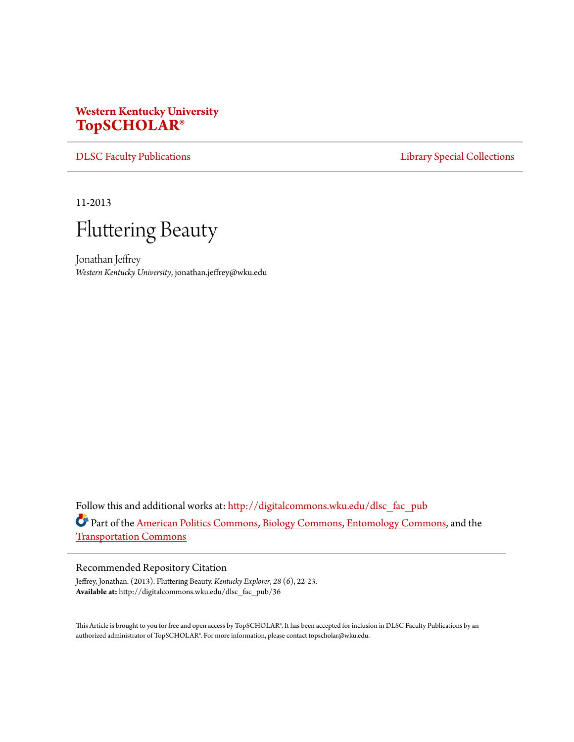## **Western Kentucky University [TopSCHOLAR®](http://digitalcommons.wku.edu?utm_source=digitalcommons.wku.edu%2Fdlsc_fac_pub%2F36&utm_medium=PDF&utm_campaign=PDFCoverPages)**

[DLSC Faculty Publications](http://digitalcommons.wku.edu/dlsc_fac_pub?utm_source=digitalcommons.wku.edu%2Fdlsc_fac_pub%2F36&utm_medium=PDF&utm_campaign=PDFCoverPages) **[Library Special Collections](http://digitalcommons.wku.edu/dlsc?utm_source=digitalcommons.wku.edu%2Fdlsc_fac_pub%2F36&utm_medium=PDF&utm_campaign=PDFCoverPages)** 

11-2013



Jonathan Jeffrey *Western Kentucky University*, jonathan.jeffrey@wku.edu

Follow this and additional works at: [http://digitalcommons.wku.edu/dlsc\\_fac\\_pub](http://digitalcommons.wku.edu/dlsc_fac_pub?utm_source=digitalcommons.wku.edu%2Fdlsc_fac_pub%2F36&utm_medium=PDF&utm_campaign=PDFCoverPages) Part of the [American Politics Commons](http://network.bepress.com/hgg/discipline/387?utm_source=digitalcommons.wku.edu%2Fdlsc_fac_pub%2F36&utm_medium=PDF&utm_campaign=PDFCoverPages), [Biology Commons](http://network.bepress.com/hgg/discipline/41?utm_source=digitalcommons.wku.edu%2Fdlsc_fac_pub%2F36&utm_medium=PDF&utm_campaign=PDFCoverPages), [Entomology Commons,](http://network.bepress.com/hgg/discipline/83?utm_source=digitalcommons.wku.edu%2Fdlsc_fac_pub%2F36&utm_medium=PDF&utm_campaign=PDFCoverPages) and the [Transportation Commons](http://network.bepress.com/hgg/discipline/1068?utm_source=digitalcommons.wku.edu%2Fdlsc_fac_pub%2F36&utm_medium=PDF&utm_campaign=PDFCoverPages)

## Recommended Repository Citation

Jeffrey, Jonathan. (2013). Fluttering Beauty. *Kentucky Explorer*, *28* (6), 22-23. **Available at:** http://digitalcommons.wku.edu/dlsc\_fac\_pub/36

This Article is brought to you for free and open access by TopSCHOLAR®. It has been accepted for inclusion in DLSC Faculty Publications by an authorized administrator of TopSCHOLAR®. For more information, please contact topscholar@wku.edu.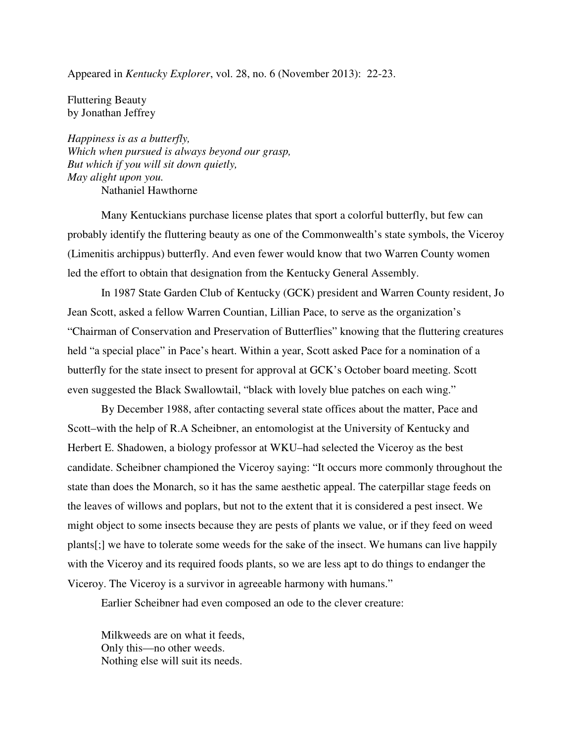Appeared in *Kentucky Explorer*, vol. 28, no. 6 (November 2013): 22-23.

Fluttering Beauty by Jonathan Jeffrey

*Happiness is as a butterfly, Which when pursued is always beyond our grasp, But which if you will sit down quietly, May alight upon you.*  Nathaniel Hawthorne

Many Kentuckians purchase license plates that sport a colorful butterfly, but few can probably identify the fluttering beauty as one of the Commonwealth's state symbols, the Viceroy (Limenitis archippus) butterfly. And even fewer would know that two Warren County women led the effort to obtain that designation from the Kentucky General Assembly.

In 1987 State Garden Club of Kentucky (GCK) president and Warren County resident, Jo Jean Scott, asked a fellow Warren Countian, Lillian Pace, to serve as the organization's "Chairman of Conservation and Preservation of Butterflies" knowing that the fluttering creatures held "a special place" in Pace's heart. Within a year, Scott asked Pace for a nomination of a butterfly for the state insect to present for approval at GCK's October board meeting. Scott even suggested the Black Swallowtail, "black with lovely blue patches on each wing."

 By December 1988, after contacting several state offices about the matter, Pace and Scott–with the help of R.A Scheibner, an entomologist at the University of Kentucky and Herbert E. Shadowen, a biology professor at WKU–had selected the Viceroy as the best candidate. Scheibner championed the Viceroy saying: "It occurs more commonly throughout the state than does the Monarch, so it has the same aesthetic appeal. The caterpillar stage feeds on the leaves of willows and poplars, but not to the extent that it is considered a pest insect. We might object to some insects because they are pests of plants we value, or if they feed on weed plants[;] we have to tolerate some weeds for the sake of the insect. We humans can live happily with the Viceroy and its required foods plants, so we are less apt to do things to endanger the Viceroy. The Viceroy is a survivor in agreeable harmony with humans."

Earlier Scheibner had even composed an ode to the clever creature:

 Milkweeds are on what it feeds, Only this—no other weeds. Nothing else will suit its needs.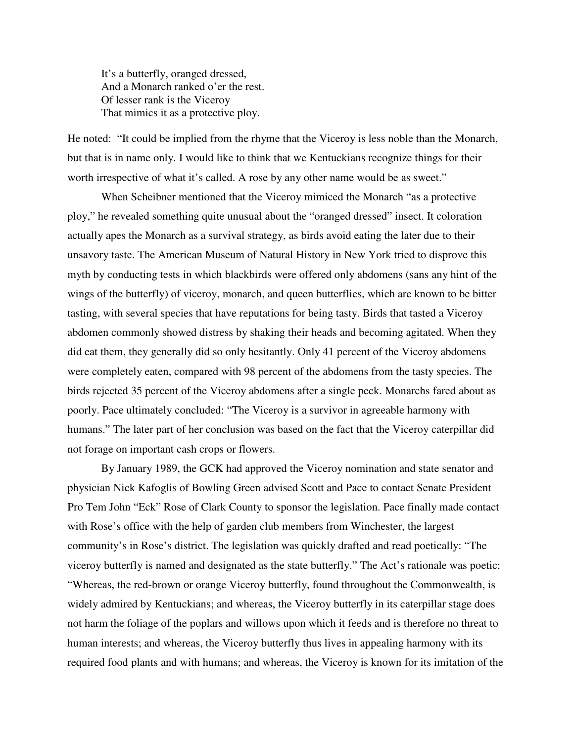It's a butterfly, oranged dressed, And a Monarch ranked o'er the rest. Of lesser rank is the Viceroy That mimics it as a protective ploy.

He noted: "It could be implied from the rhyme that the Viceroy is less noble than the Monarch, but that is in name only. I would like to think that we Kentuckians recognize things for their worth irrespective of what it's called. A rose by any other name would be as sweet."

 When Scheibner mentioned that the Viceroy mimiced the Monarch "as a protective ploy," he revealed something quite unusual about the "oranged dressed" insect. It coloration actually apes the Monarch as a survival strategy, as birds avoid eating the later due to their unsavory taste. The American Museum of Natural History in New York tried to disprove this myth by conducting tests in which blackbirds were offered only abdomens (sans any hint of the wings of the butterfly) of viceroy, monarch, and queen butterflies, which are known to be bitter tasting, with several species that have reputations for being tasty. Birds that tasted a Viceroy abdomen commonly showed distress by shaking their heads and becoming agitated. When they did eat them, they generally did so only hesitantly. Only 41 percent of the Viceroy abdomens were completely eaten, compared with 98 percent of the abdomens from the tasty species. The birds rejected 35 percent of the Viceroy abdomens after a single peck. Monarchs fared about as poorly. Pace ultimately concluded: "The Viceroy is a survivor in agreeable harmony with humans." The later part of her conclusion was based on the fact that the Viceroy caterpillar did not forage on important cash crops or flowers.

 By January 1989, the GCK had approved the Viceroy nomination and state senator and physician Nick Kafoglis of Bowling Green advised Scott and Pace to contact Senate President Pro Tem John "Eck" Rose of Clark County to sponsor the legislation. Pace finally made contact with Rose's office with the help of garden club members from Winchester, the largest community's in Rose's district. The legislation was quickly drafted and read poetically: "The viceroy butterfly is named and designated as the state butterfly." The Act's rationale was poetic: "Whereas, the red-brown or orange Viceroy butterfly, found throughout the Commonwealth, is widely admired by Kentuckians; and whereas, the Viceroy butterfly in its caterpillar stage does not harm the foliage of the poplars and willows upon which it feeds and is therefore no threat to human interests; and whereas, the Viceroy butterfly thus lives in appealing harmony with its required food plants and with humans; and whereas, the Viceroy is known for its imitation of the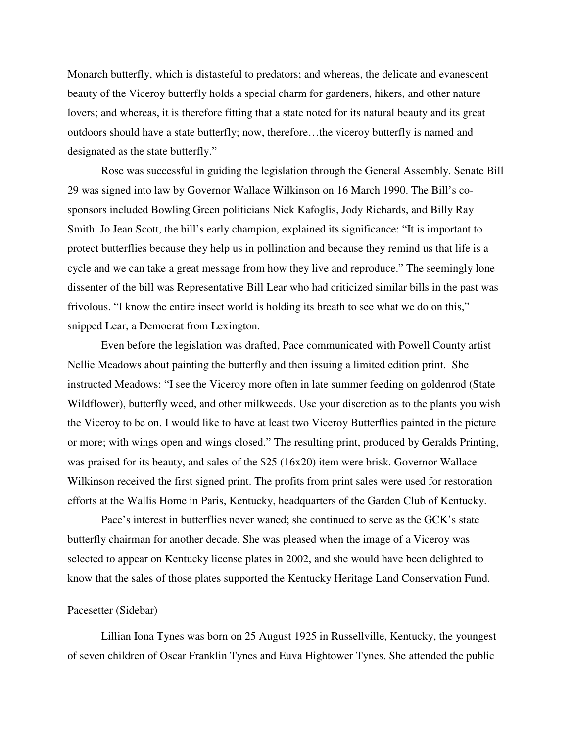Monarch butterfly, which is distasteful to predators; and whereas, the delicate and evanescent beauty of the Viceroy butterfly holds a special charm for gardeners, hikers, and other nature lovers; and whereas, it is therefore fitting that a state noted for its natural beauty and its great outdoors should have a state butterfly; now, therefore…the viceroy butterfly is named and designated as the state butterfly."

 Rose was successful in guiding the legislation through the General Assembly. Senate Bill 29 was signed into law by Governor Wallace Wilkinson on 16 March 1990. The Bill's cosponsors included Bowling Green politicians Nick Kafoglis, Jody Richards, and Billy Ray Smith. Jo Jean Scott, the bill's early champion, explained its significance: "It is important to protect butterflies because they help us in pollination and because they remind us that life is a cycle and we can take a great message from how they live and reproduce." The seemingly lone dissenter of the bill was Representative Bill Lear who had criticized similar bills in the past was frivolous. "I know the entire insect world is holding its breath to see what we do on this," snipped Lear, a Democrat from Lexington.

 Even before the legislation was drafted, Pace communicated with Powell County artist Nellie Meadows about painting the butterfly and then issuing a limited edition print. She instructed Meadows: "I see the Viceroy more often in late summer feeding on goldenrod (State Wildflower), butterfly weed, and other milkweeds. Use your discretion as to the plants you wish the Viceroy to be on. I would like to have at least two Viceroy Butterflies painted in the picture or more; with wings open and wings closed." The resulting print, produced by Geralds Printing, was praised for its beauty, and sales of the \$25 (16x20) item were brisk. Governor Wallace Wilkinson received the first signed print. The profits from print sales were used for restoration efforts at the Wallis Home in Paris, Kentucky, headquarters of the Garden Club of Kentucky.

 Pace's interest in butterflies never waned; she continued to serve as the GCK's state butterfly chairman for another decade. She was pleased when the image of a Viceroy was selected to appear on Kentucky license plates in 2002, and she would have been delighted to know that the sales of those plates supported the Kentucky Heritage Land Conservation Fund.

## Pacesetter (Sidebar)

Lillian Iona Tynes was born on 25 August 1925 in Russellville, Kentucky, the youngest of seven children of Oscar Franklin Tynes and Euva Hightower Tynes. She attended the public